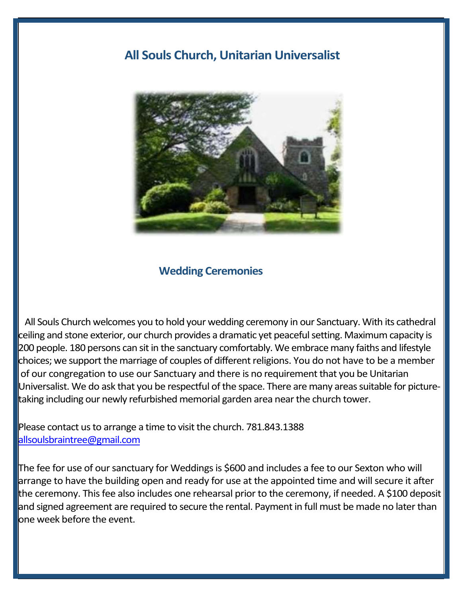## **All Souls Church, Unitarian Universalist**



## **Wedding Ceremonies**

 All Souls Church welcomes you to hold your wedding ceremony in our Sanctuary. With its cathedral ceiling and stone exterior, our church provides a dramatic yet peaceful setting. Maximum capacity is 200 people. 180 persons can sit in the sanctuary comfortably. We embrace many faiths and lifestyle choices; we support the marriage of couples of different religions. You do not have to be a member of our congregation to use our Sanctuary and there is no requirement that you be Unitarian Universalist. We do ask that you be respectful of the space. There are many areas suitable for picturetaking including our newly refurbished memorial garden area near the church tower.

Please contact us to arrange a time to visit the church. 781.843.1388 [allsoulsbraintree@gmail.com](mailto:allsoulsbraintree@gmail.com)

The fee for use of our sanctuary for Weddings is \$600 and includes a fee to our Sexton who will arrange to have the building open and ready for use at the appointed time and will secure it after the ceremony. This fee also includes one rehearsal prior to the ceremony, if needed. A \$100 deposit and signed agreement are required to secure the rental. Payment in full must be made no later than one week before the event.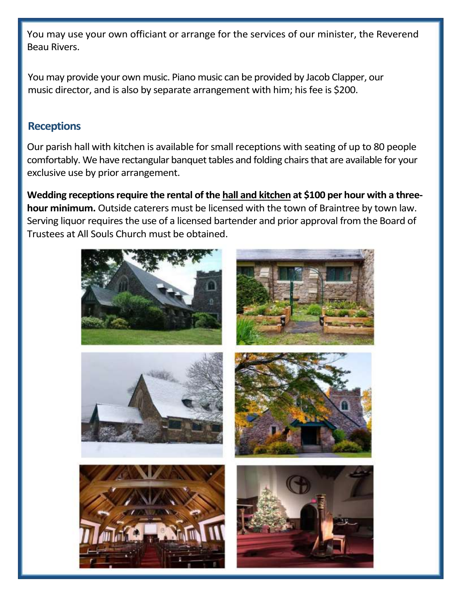You may use your own officiant or arrange for the services of our minister, the Reverend Beau Rivers.

You may provide your own music. Piano music can be provided by Jacob Clapper, our music director, and is also by separate arrangement with him; his fee is \$200.

## **Receptions**

Our parish hall with kitchen is available for small receptions with seating of up to 80 people comfortably. We have rectangular banquet tables and folding chairs that are available for your exclusive use by prior arrangement.

**Wedding receptions require the rental of the hall and kitchen at \$100 per hour with a threehour minimum.** Outside caterers must be licensed with the town of Braintree by town law. Serving liquor requires the use of a licensed bartender and prior approval from the Board of Trustees at All Souls Church must be obtained.

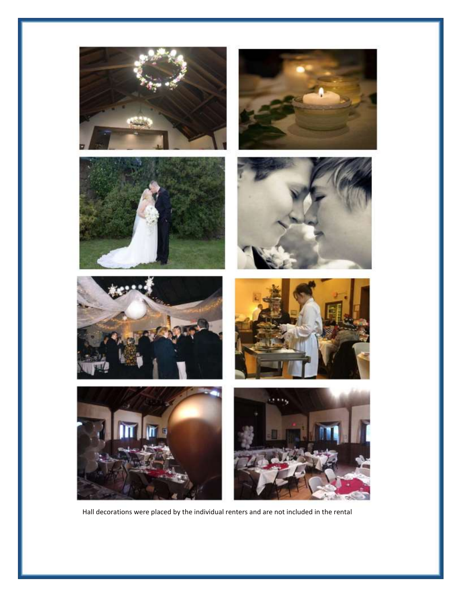

Hall decorations were placed by the individual renters and are not included in the rental